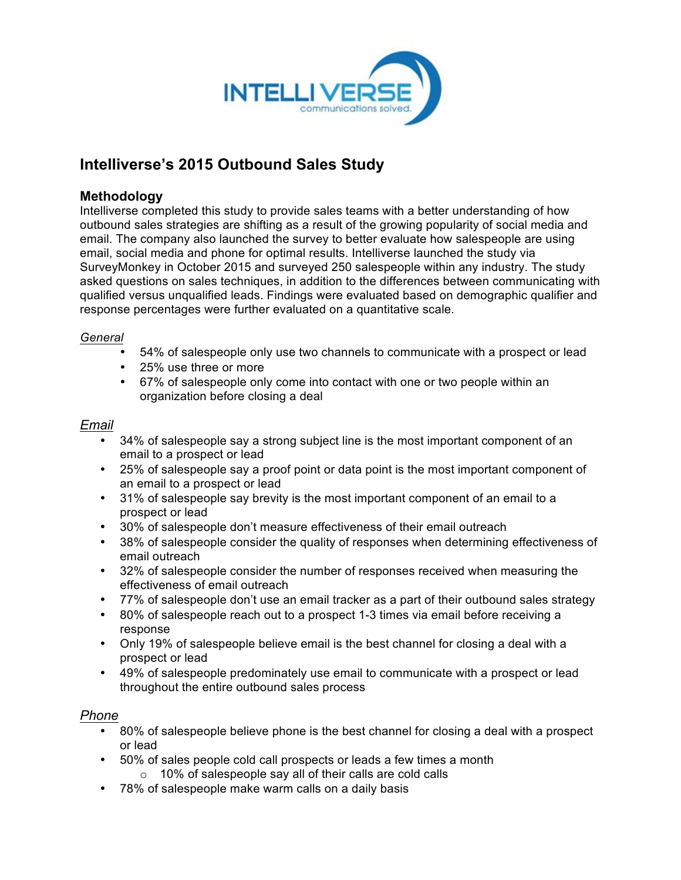

# **Intelliverse's 2015 Outbound Sales Study**

## **Methodology**

Intelliverse completed this study to provide sales teams with a better understanding of how outbound sales strategies are shifting as a result of the growing popularity of social media and email. The company also launched the survey to better evaluate how salespeople are using email, social media and phone for optimal results. Intelliverse launched the study via SurveyMonkey in October 2015 and surveyed 250 salespeople within any industry. The study asked questions on sales techniques, in addition to the differences between communicating with qualified versus unqualified leads. Findings were evaluated based on demographic qualifier and response percentages were further evaluated on a quantitative scale.

### *General*

- 54% of salespeople only use two channels to communicate with a prospect or lead
- 25% use three or more
- 67% of salespeople only come into contact with one or two people within an organization before closing a deal

### *Email*

- 34% of salespeople say a strong subject line is the most important component of an email to a prospect or lead
- 25% of salespeople say a proof point or data point is the most important component of an email to a prospect or lead
- 31% of salespeople say brevity is the most important component of an email to a prospect or lead
- 30% of salespeople don't measure effectiveness of their email outreach
- 38% of salespeople consider the quality of responses when determining effectiveness of email outreach
- 32% of salespeople consider the number of responses received when measuring the effectiveness of email outreach
- 77% of salespeople don't use an email tracker as a part of their outbound sales strategy
- 80% of salespeople reach out to a prospect 1-3 times via email before receiving a response
- Only 19% of salespeople believe email is the best channel for closing a deal with a prospect or lead
- 49% of salespeople predominately use email to communicate with a prospect or lead throughout the entire outbound sales process

## *Phone*

- 80% of salespeople believe phone is the best channel for closing a deal with a prospect or lead
- 50% of sales people cold call prospects or leads a few times a month
	- o 10% of salespeople say all of their calls are cold calls
- 78% of salespeople make warm calls on a daily basis